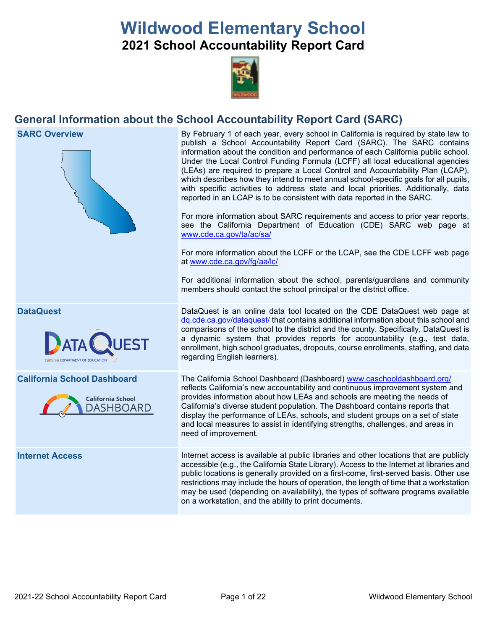# **Wildwood Elementary School 2021 School Accountability Report Card**



## **General Information about the School Accountability Report Card (SARC)**

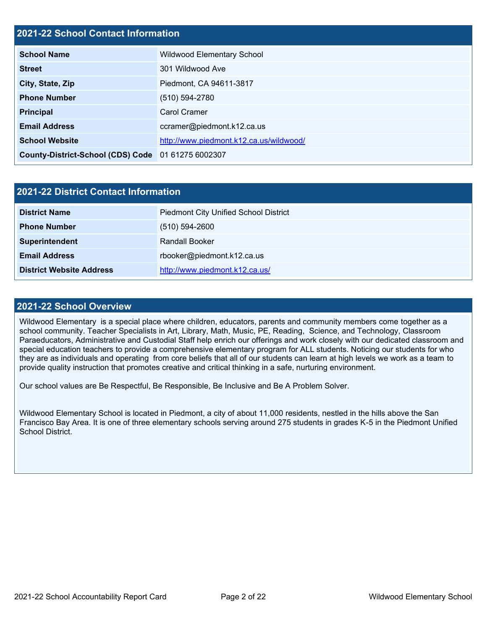## **2021-22 School Contact Information**

| <b>School Name</b>                                 | <b>Wildwood Elementary School</b>       |
|----------------------------------------------------|-----------------------------------------|
| <b>Street</b>                                      | 301 Wildwood Ave                        |
| City, State, Zip                                   | Piedmont, CA 94611-3817                 |
| <b>Phone Number</b>                                | $(510) 594 - 2780$                      |
| <b>Principal</b>                                   | Carol Cramer                            |
| <b>Email Address</b>                               | ccramer@piedmont.k12.ca.us              |
| <b>School Website</b>                              | http://www.piedmont.k12.ca.us/wildwood/ |
| County-District-School (CDS) Code 01 61275 6002307 |                                         |

| 2021-22 District Contact Information |                                              |  |  |  |  |
|--------------------------------------|----------------------------------------------|--|--|--|--|
| <b>District Name</b>                 | <b>Piedmont City Unified School District</b> |  |  |  |  |
| <b>Phone Number</b>                  | $(510) 594 - 2600$                           |  |  |  |  |
| Superintendent                       | <b>Randall Booker</b>                        |  |  |  |  |
| <b>Email Address</b>                 | rbooker@piedmont.k12.ca.us                   |  |  |  |  |
| <b>District Website Address</b>      | http://www.piedmont.k12.ca.us/               |  |  |  |  |

#### **2021-22 School Overview**

Wildwood Elementary is a special place where children, educators, parents and community members come together as a school community. Teacher Specialists in Art, Library, Math, Music, PE, Reading, Science, and Technology, Classroom Paraeducators, Administrative and Custodial Staff help enrich our offerings and work closely with our dedicated classroom and special education teachers to provide a comprehensive elementary program for ALL students. Noticing our students for who they are as individuals and operating from core beliefs that all of our students can learn at high levels we work as a team to provide quality instruction that promotes creative and critical thinking in a safe, nurturing environment.

Our school values are Be Respectful, Be Responsible, Be Inclusive and Be A Problem Solver.

Wildwood Elementary School is located in Piedmont, a city of about 11,000 residents, nestled in the hills above the San Francisco Bay Area. It is one of three elementary schools serving around 275 students in grades K-5 in the Piedmont Unified School District.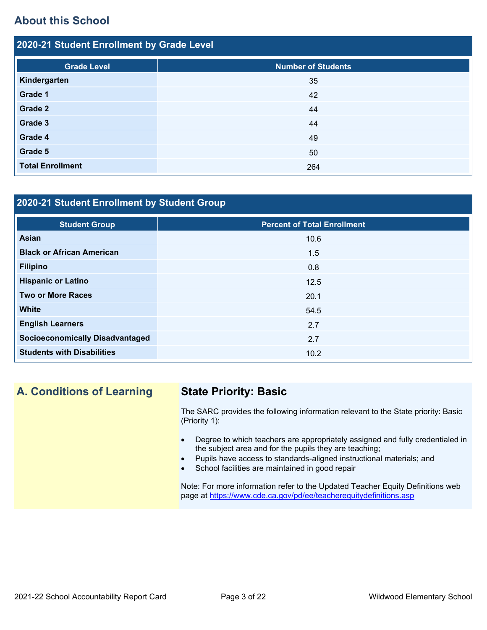## **About this School**

| 2020-21 Student Enrollment by Grade Level |                           |  |  |  |  |
|-------------------------------------------|---------------------------|--|--|--|--|
| <b>Grade Level</b>                        | <b>Number of Students</b> |  |  |  |  |
| Kindergarten                              | 35                        |  |  |  |  |
| Grade 1                                   | 42                        |  |  |  |  |
| Grade 2                                   | 44                        |  |  |  |  |
| Grade 3                                   | 44                        |  |  |  |  |
| Grade 4                                   | 49                        |  |  |  |  |
| Grade 5                                   | 50                        |  |  |  |  |
| <b>Total Enrollment</b>                   | 264                       |  |  |  |  |

## **2020-21 Student Enrollment by Student Group**

| <b>Student Group</b>                   | <b>Percent of Total Enrollment</b> |
|----------------------------------------|------------------------------------|
| Asian                                  | 10.6                               |
| <b>Black or African American</b>       | 1.5                                |
| <b>Filipino</b>                        | 0.8                                |
| <b>Hispanic or Latino</b>              | 12.5                               |
| <b>Two or More Races</b>               | 20.1                               |
| <b>White</b>                           | 54.5                               |
| <b>English Learners</b>                | 2.7                                |
| <b>Socioeconomically Disadvantaged</b> | 2.7                                |
| <b>Students with Disabilities</b>      | 10.2                               |

## **A. Conditions of Learning State Priority: Basic**

The SARC provides the following information relevant to the State priority: Basic (Priority 1):

- Degree to which teachers are appropriately assigned and fully credentialed in the subject area and for the pupils they are teaching;
- Pupils have access to standards-aligned instructional materials; and
- School facilities are maintained in good repair

Note: For more information refer to the Updated Teacher Equity Definitions web page at<https://www.cde.ca.gov/pd/ee/teacherequitydefinitions.asp>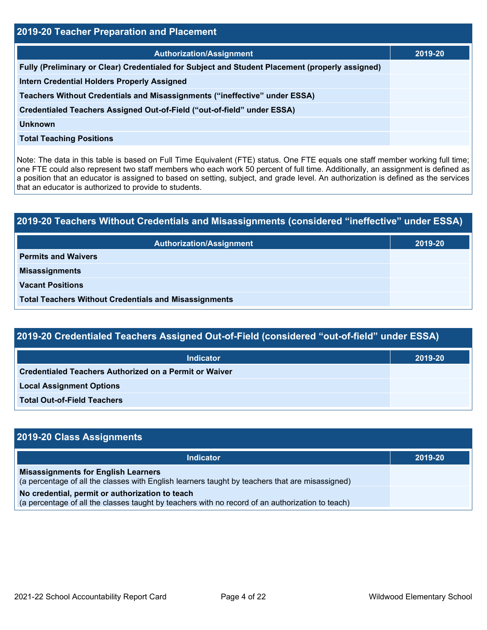| <b>2019-20 Teacher Preparation and Placement</b>                                                |         |  |  |  |
|-------------------------------------------------------------------------------------------------|---------|--|--|--|
| <b>Authorization/Assignment</b>                                                                 | 2019-20 |  |  |  |
| Fully (Preliminary or Clear) Credentialed for Subject and Student Placement (properly assigned) |         |  |  |  |
| <b>Intern Credential Holders Properly Assigned</b>                                              |         |  |  |  |
| Teachers Without Credentials and Misassignments ("ineffective" under ESSA)                      |         |  |  |  |
| Credentialed Teachers Assigned Out-of-Field ("out-of-field" under ESSA)                         |         |  |  |  |
| Unknown                                                                                         |         |  |  |  |
| <b>Total Teaching Positions</b>                                                                 |         |  |  |  |

Note: The data in this table is based on Full Time Equivalent (FTE) status. One FTE equals one staff member working full time; one FTE could also represent two staff members who each work 50 percent of full time. Additionally, an assignment is defined as a position that an educator is assigned to based on setting, subject, and grade level. An authorization is defined as the services that an educator is authorized to provide to students.

# **2019-20 Teachers Without Credentials and Misassignments (considered "ineffective" under ESSA) Authorization/Assignment 2019-20 Permits and Waivers Misassignments Vacant Positions Total Teachers Without Credentials and Misassignments**

| 2019-20 Credentialed Teachers Assigned Out-of-Field (considered "out-of-field" under ESSA) |         |  |  |  |
|--------------------------------------------------------------------------------------------|---------|--|--|--|
| <b>Indicator</b>                                                                           | 2019-20 |  |  |  |
| <b>Credentialed Teachers Authorized on a Permit or Waiver</b>                              |         |  |  |  |
| <b>Local Assignment Options</b>                                                            |         |  |  |  |

**Total Out-of-Field Teachers**

| 2019-20 Class Assignments                                                                                                                           |         |
|-----------------------------------------------------------------------------------------------------------------------------------------------------|---------|
| Indicator                                                                                                                                           | 2019-20 |
| <b>Misassignments for English Learners</b><br>(a percentage of all the classes with English learners taught by teachers that are misassigned)       |         |
| No credential, permit or authorization to teach<br>(a percentage of all the classes taught by teachers with no record of an authorization to teach) |         |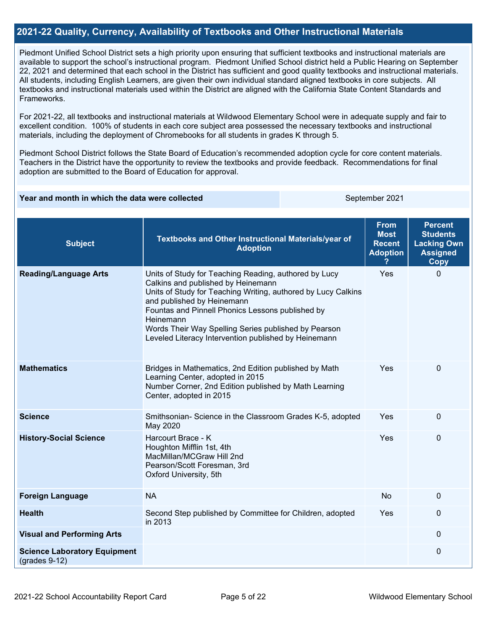## **2021-22 Quality, Currency, Availability of Textbooks and Other Instructional Materials**

Piedmont Unified School District sets a high priority upon ensuring that sufficient textbooks and instructional materials are available to support the school's instructional program. Piedmont Unified School district held a Public Hearing on September 22, 2021 and determined that each school in the District has sufficient and good quality textbooks and instructional materials. All students, including English Learners, are given their own individual standard aligned textbooks in core subjects. All textbooks and instructional materials used within the District are aligned with the California State Content Standards and Frameworks.

For 2021-22, all textbooks and instructional materials at Wildwood Elementary School were in adequate supply and fair to excellent condition. 100% of students in each core subject area possessed the necessary textbooks and instructional materials, including the deployment of Chromebooks for all students in grades K through 5.

Piedmont School District follows the State Board of Education's recommended adoption cycle for core content materials. Teachers in the District have the opportunity to review the textbooks and provide feedback. Recommendations for final adoption are submitted to the Board of Education for approval.

#### **Year and month in which the data were collected September 2021** September 2021

| <b>Subject</b>                                         | Textbooks and Other Instructional Materials/year of<br><b>Adoption</b>                                                                                                                                                                                                                                                                                                      | <b>From</b><br><b>Most</b><br><b>Recent</b><br><b>Adoption</b> | <b>Percent</b><br><b>Students</b><br><b>Lacking Own</b><br><b>Assigned</b><br><b>Copy</b> |
|--------------------------------------------------------|-----------------------------------------------------------------------------------------------------------------------------------------------------------------------------------------------------------------------------------------------------------------------------------------------------------------------------------------------------------------------------|----------------------------------------------------------------|-------------------------------------------------------------------------------------------|
| <b>Reading/Language Arts</b>                           | Units of Study for Teaching Reading, authored by Lucy<br>Calkins and published by Heinemann<br>Units of Study for Teaching Writing, authored by Lucy Calkins<br>and published by Heinemann<br>Fountas and Pinnell Phonics Lessons published by<br>Heinemann<br>Words Their Way Spelling Series published by Pearson<br>Leveled Literacy Intervention published by Heinemann | Yes                                                            | $\Omega$                                                                                  |
| <b>Mathematics</b>                                     | Bridges in Mathematics, 2nd Edition published by Math<br>Learning Center, adopted in 2015<br>Number Corner, 2nd Edition published by Math Learning<br>Center, adopted in 2015                                                                                                                                                                                               | Yes                                                            | $\mathbf 0$                                                                               |
| <b>Science</b>                                         | Smithsonian- Science in the Classroom Grades K-5, adopted<br>May 2020                                                                                                                                                                                                                                                                                                       | Yes                                                            | $\mathbf{0}$                                                                              |
| <b>History-Social Science</b>                          | Harcourt Brace - K<br>Houghton Mifflin 1st, 4th<br>MacMillan/MCGraw Hill 2nd<br>Pearson/Scott Foresman, 3rd<br>Oxford University, 5th                                                                                                                                                                                                                                       | Yes                                                            | $\mathbf{0}$                                                                              |
| <b>Foreign Language</b>                                | <b>NA</b>                                                                                                                                                                                                                                                                                                                                                                   | No                                                             | 0                                                                                         |
| <b>Health</b>                                          | Second Step published by Committee for Children, adopted<br>in 2013                                                                                                                                                                                                                                                                                                         | Yes                                                            | $\Omega$                                                                                  |
| <b>Visual and Performing Arts</b>                      |                                                                                                                                                                                                                                                                                                                                                                             |                                                                | 0                                                                                         |
| <b>Science Laboratory Equipment</b><br>$(grades 9-12)$ |                                                                                                                                                                                                                                                                                                                                                                             |                                                                | 0                                                                                         |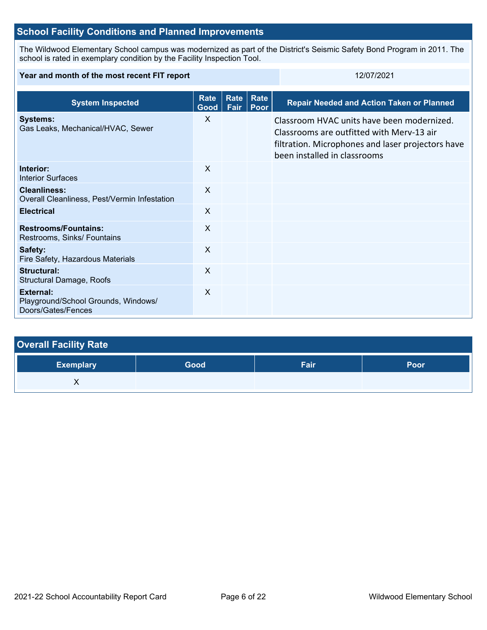## **School Facility Conditions and Planned Improvements**

The Wildwood Elementary School campus was modernized as part of the District's Seismic Safety Bond Program in 2011. The school is rated in exemplary condition by the Facility Inspection Tool.

#### **Year and month of the most recent FIT report** 12/07/2021

| <b>System Inspected</b>                                                | <b>Rate</b><br>Good | Rate<br>Fair | Rate<br>Poor | <b>Repair Needed and Action Taken or Planned</b>                                                                                                                             |
|------------------------------------------------------------------------|---------------------|--------------|--------------|------------------------------------------------------------------------------------------------------------------------------------------------------------------------------|
| <b>Systems:</b><br>Gas Leaks, Mechanical/HVAC, Sewer                   | X                   |              |              | Classroom HVAC units have been modernized.<br>Classrooms are outfitted with Merv-13 air<br>filtration. Microphones and laser projectors have<br>been installed in classrooms |
| Interior:<br><b>Interior Surfaces</b>                                  | X                   |              |              |                                                                                                                                                                              |
| <b>Cleanliness:</b><br>Overall Cleanliness, Pest/Vermin Infestation    | $\mathsf{X}$        |              |              |                                                                                                                                                                              |
| <b>Electrical</b>                                                      | X                   |              |              |                                                                                                                                                                              |
| <b>Restrooms/Fountains:</b><br>Restrooms, Sinks/ Fountains             | $\mathsf{X}$        |              |              |                                                                                                                                                                              |
| Safety:<br>Fire Safety, Hazardous Materials                            | $\sf X$             |              |              |                                                                                                                                                                              |
| Structural:<br><b>Structural Damage, Roofs</b>                         | X                   |              |              |                                                                                                                                                                              |
| External:<br>Playground/School Grounds, Windows/<br>Doors/Gates/Fences | $\mathsf{X}$        |              |              |                                                                                                                                                                              |

| <b>Overall Facility Rate</b> |      |      |             |
|------------------------------|------|------|-------------|
| <b>Exemplary</b>             | Good | Fair | <b>Poor</b> |
|                              |      |      |             |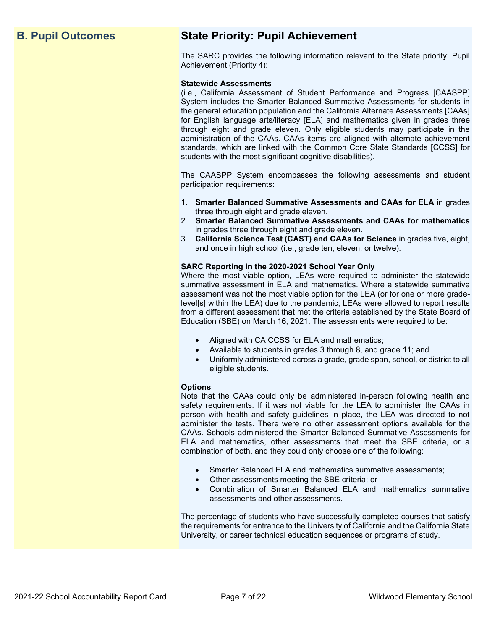## **B. Pupil Outcomes State Priority: Pupil Achievement**

The SARC provides the following information relevant to the State priority: Pupil Achievement (Priority 4):

#### **Statewide Assessments**

(i.e., California Assessment of Student Performance and Progress [CAASPP] System includes the Smarter Balanced Summative Assessments for students in the general education population and the California Alternate Assessments [CAAs] for English language arts/literacy [ELA] and mathematics given in grades three through eight and grade eleven. Only eligible students may participate in the administration of the CAAs. CAAs items are aligned with alternate achievement standards, which are linked with the Common Core State Standards [CCSS] for students with the most significant cognitive disabilities).

The CAASPP System encompasses the following assessments and student participation requirements:

- 1. **Smarter Balanced Summative Assessments and CAAs for ELA** in grades three through eight and grade eleven.
- 2. **Smarter Balanced Summative Assessments and CAAs for mathematics** in grades three through eight and grade eleven.
- 3. **California Science Test (CAST) and CAAs for Science** in grades five, eight, and once in high school (i.e., grade ten, eleven, or twelve).

#### **SARC Reporting in the 2020-2021 School Year Only**

Where the most viable option, LEAs were required to administer the statewide summative assessment in ELA and mathematics. Where a statewide summative assessment was not the most viable option for the LEA (or for one or more gradelevel[s] within the LEA) due to the pandemic, LEAs were allowed to report results from a different assessment that met the criteria established by the State Board of Education (SBE) on March 16, 2021. The assessments were required to be:

- Aligned with CA CCSS for ELA and mathematics;
- Available to students in grades 3 through 8, and grade 11; and
- Uniformly administered across a grade, grade span, school, or district to all eligible students.

#### **Options**

Note that the CAAs could only be administered in-person following health and safety requirements. If it was not viable for the LEA to administer the CAAs in person with health and safety guidelines in place, the LEA was directed to not administer the tests. There were no other assessment options available for the CAAs. Schools administered the Smarter Balanced Summative Assessments for ELA and mathematics, other assessments that meet the SBE criteria, or a combination of both, and they could only choose one of the following:

- Smarter Balanced ELA and mathematics summative assessments;
- Other assessments meeting the SBE criteria; or
- Combination of Smarter Balanced ELA and mathematics summative assessments and other assessments.

The percentage of students who have successfully completed courses that satisfy the requirements for entrance to the University of California and the California State University, or career technical education sequences or programs of study.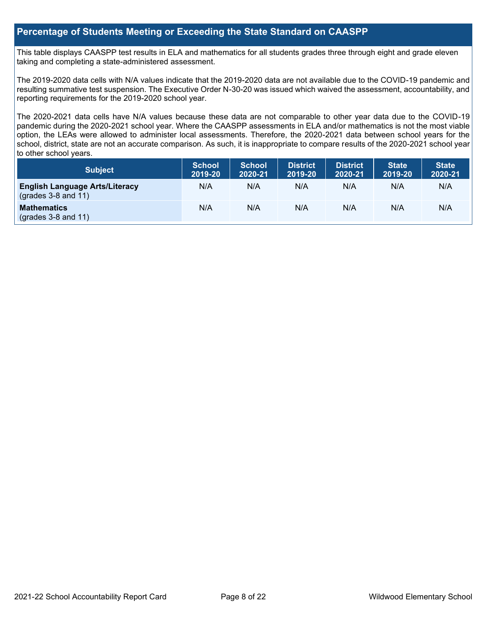## **Percentage of Students Meeting or Exceeding the State Standard on CAASPP**

This table displays CAASPP test results in ELA and mathematics for all students grades three through eight and grade eleven taking and completing a state-administered assessment.

The 2019-2020 data cells with N/A values indicate that the 2019-2020 data are not available due to the COVID-19 pandemic and resulting summative test suspension. The Executive Order N-30-20 was issued which waived the assessment, accountability, and reporting requirements for the 2019-2020 school year.

The 2020-2021 data cells have N/A values because these data are not comparable to other year data due to the COVID-19 pandemic during the 2020-2021 school year. Where the CAASPP assessments in ELA and/or mathematics is not the most viable option, the LEAs were allowed to administer local assessments. Therefore, the 2020-2021 data between school years for the school, district, state are not an accurate comparison. As such, it is inappropriate to compare results of the 2020-2021 school year to other school years.

| Subject                                                              | <b>School</b><br>2019-20 | <b>School</b><br>2020-21 | <b>District</b><br>2019-20 | <b>District</b><br>2020-21 | <b>State</b><br>2019-20 | <b>State</b><br>2020-21 |
|----------------------------------------------------------------------|--------------------------|--------------------------|----------------------------|----------------------------|-------------------------|-------------------------|
| <b>English Language Arts/Literacy</b><br>$\left($ grades 3-8 and 11) | N/A                      | N/A                      | N/A                        | N/A                        | N/A                     | N/A                     |
| <b>Mathematics</b><br>$(grades 3-8 and 11)$                          | N/A                      | N/A                      | N/A                        | N/A                        | N/A                     | N/A                     |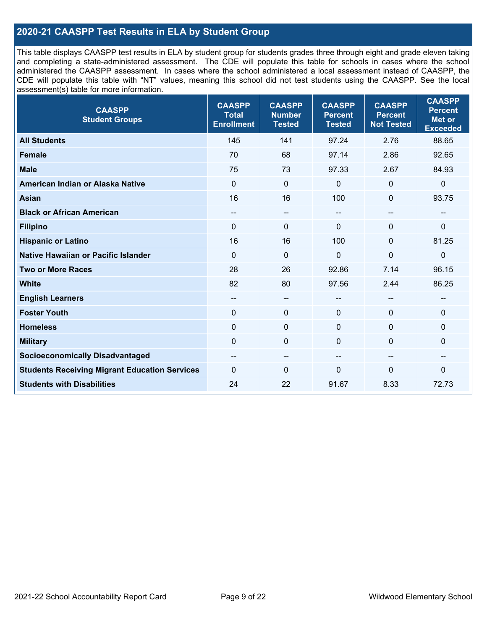## **2020-21 CAASPP Test Results in ELA by Student Group**

This table displays CAASPP test results in ELA by student group for students grades three through eight and grade eleven taking and completing a state-administered assessment. The CDE will populate this table for schools in cases where the school administered the CAASPP assessment. In cases where the school administered a local assessment instead of CAASPP, the CDE will populate this table with "NT" values, meaning this school did not test students using the CAASPP. See the local assessment(s) table for more information.

| <b>CAASPP</b><br><b>Student Groups</b>               | <b>CAASPP</b><br><b>Total</b><br><b>Enrollment</b> | <b>CAASPP</b><br><b>Number</b><br><b>Tested</b> | <b>CAASPP</b><br><b>Percent</b><br><b>Tested</b> | <b>CAASPP</b><br><b>Percent</b><br><b>Not Tested</b> | <b>CAASPP</b><br><b>Percent</b><br><b>Met or</b><br><b>Exceeded</b> |
|------------------------------------------------------|----------------------------------------------------|-------------------------------------------------|--------------------------------------------------|------------------------------------------------------|---------------------------------------------------------------------|
| <b>All Students</b>                                  | 145                                                | 141                                             | 97.24                                            | 2.76                                                 | 88.65                                                               |
| <b>Female</b>                                        | 70                                                 | 68                                              | 97.14                                            | 2.86                                                 | 92.65                                                               |
| <b>Male</b>                                          | 75                                                 | 73                                              | 97.33                                            | 2.67                                                 | 84.93                                                               |
| American Indian or Alaska Native                     | $\mathbf 0$                                        | $\mathbf 0$                                     | $\mathbf 0$                                      | $\mathbf 0$                                          | $\mathbf 0$                                                         |
| <b>Asian</b>                                         | 16                                                 | 16                                              | 100                                              | $\Omega$                                             | 93.75                                                               |
| <b>Black or African American</b>                     | --                                                 | $\overline{\phantom{a}}$                        | $-$                                              | $\overline{\phantom{a}}$                             | --                                                                  |
| <b>Filipino</b>                                      | $\Omega$                                           | $\mathbf{0}$                                    | $\mathbf{0}$                                     | $\Omega$                                             | $\mathbf{0}$                                                        |
| <b>Hispanic or Latino</b>                            | 16                                                 | 16                                              | 100                                              | $\mathbf{0}$                                         | 81.25                                                               |
| <b>Native Hawaiian or Pacific Islander</b>           | $\mathbf 0$                                        | $\mathbf 0$                                     | 0                                                | 0                                                    | $\pmb{0}$                                                           |
| <b>Two or More Races</b>                             | 28                                                 | 26                                              | 92.86                                            | 7.14                                                 | 96.15                                                               |
| <b>White</b>                                         | 82                                                 | 80                                              | 97.56                                            | 2.44                                                 | 86.25                                                               |
| <b>English Learners</b>                              | $- -$                                              | $\overline{\phantom{a}}$                        | --                                               | $-$                                                  | --                                                                  |
| <b>Foster Youth</b>                                  | $\Omega$                                           | $\mathbf 0$                                     | $\mathbf{0}$                                     | $\mathbf{0}$                                         | $\mathbf{0}$                                                        |
| <b>Homeless</b>                                      | $\mathbf 0$                                        | $\pmb{0}$                                       | $\mathbf 0$                                      | $\mathbf 0$                                          | $\mathbf 0$                                                         |
| <b>Military</b>                                      | $\mathbf 0$                                        | $\pmb{0}$                                       | $\mathbf{0}$                                     | $\Omega$                                             | 0                                                                   |
| <b>Socioeconomically Disadvantaged</b>               | --                                                 | $\overline{\phantom{a}}$                        | --                                               | --                                                   | --                                                                  |
| <b>Students Receiving Migrant Education Services</b> | $\Omega$                                           | $\Omega$                                        | $\Omega$                                         | $\Omega$                                             | $\Omega$                                                            |
| <b>Students with Disabilities</b>                    | 24                                                 | 22                                              | 91.67                                            | 8.33                                                 | 72.73                                                               |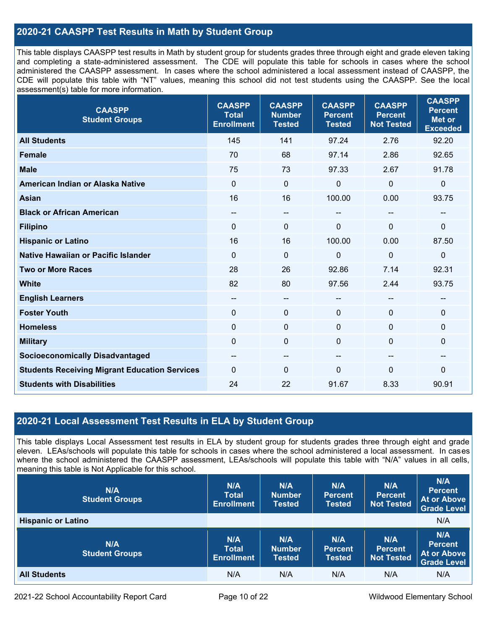## **2020-21 CAASPP Test Results in Math by Student Group**

This table displays CAASPP test results in Math by student group for students grades three through eight and grade eleven taking and completing a state-administered assessment. The CDE will populate this table for schools in cases where the school administered the CAASPP assessment. In cases where the school administered a local assessment instead of CAASPP, the CDE will populate this table with "NT" values, meaning this school did not test students using the CAASPP. See the local assessment(s) table for more information.

| <b>CAASPP</b><br><b>Student Groups</b>               | <b>CAASPP</b><br><b>Total</b><br><b>Enrollment</b> | <b>CAASPP</b><br><b>Number</b><br><b>Tested</b> | <b>CAASPP</b><br><b>Percent</b><br><b>Tested</b> | <b>CAASPP</b><br><b>Percent</b><br><b>Not Tested</b> | <b>CAASPP</b><br><b>Percent</b><br><b>Met or</b><br><b>Exceeded</b> |
|------------------------------------------------------|----------------------------------------------------|-------------------------------------------------|--------------------------------------------------|------------------------------------------------------|---------------------------------------------------------------------|
| <b>All Students</b>                                  | 145                                                | 141                                             | 97.24                                            | 2.76                                                 | 92.20                                                               |
| <b>Female</b>                                        | 70                                                 | 68                                              | 97.14                                            | 2.86                                                 | 92.65                                                               |
| <b>Male</b>                                          | 75                                                 | 73                                              | 97.33                                            | 2.67                                                 | 91.78                                                               |
| American Indian or Alaska Native                     | $\mathbf 0$                                        | 0                                               | 0                                                | $\overline{0}$                                       | $\mathbf 0$                                                         |
| <b>Asian</b>                                         | 16                                                 | 16                                              | 100.00                                           | 0.00                                                 | 93.75                                                               |
| <b>Black or African American</b>                     | $\hspace{0.05cm}$ – $\hspace{0.05cm}$              | --                                              | $\overline{\phantom{m}}$                         | $\overline{\phantom{a}}$                             | $\overline{\phantom{m}}$                                            |
| <b>Filipino</b>                                      | $\Omega$                                           | 0                                               | 0                                                | $\Omega$                                             | $\mathbf 0$                                                         |
| <b>Hispanic or Latino</b>                            | 16                                                 | 16                                              | 100.00                                           | 0.00                                                 | 87.50                                                               |
| <b>Native Hawaiian or Pacific Islander</b>           | 0                                                  | 0                                               | 0                                                | 0                                                    | $\mathbf 0$                                                         |
| <b>Two or More Races</b>                             | 28                                                 | 26                                              | 92.86                                            | 7.14                                                 | 92.31                                                               |
| <b>White</b>                                         | 82                                                 | 80                                              | 97.56                                            | 2.44                                                 | 93.75                                                               |
| <b>English Learners</b>                              | $\qquad \qquad -$                                  | $-$                                             | $- -$                                            | --                                                   | --                                                                  |
| <b>Foster Youth</b>                                  | $\mathbf{0}$                                       | 0                                               | $\Omega$                                         | $\Omega$                                             | $\mathbf 0$                                                         |
| <b>Homeless</b>                                      | 0                                                  | 0                                               | $\mathbf 0$                                      | $\Omega$                                             | $\mathbf 0$                                                         |
| <b>Military</b>                                      | $\mathbf 0$                                        | 0                                               | 0                                                | $\Omega$                                             | $\pmb{0}$                                                           |
| <b>Socioeconomically Disadvantaged</b>               | $\hspace{0.05cm}$ – $\hspace{0.05cm}$              | --                                              | $\sim$                                           | $\sim$                                               | --                                                                  |
| <b>Students Receiving Migrant Education Services</b> | $\Omega$                                           | $\mathbf{0}$                                    | 0                                                | $\mathbf{0}$                                         | 0                                                                   |
| <b>Students with Disabilities</b>                    | 24                                                 | 22                                              | 91.67                                            | 8.33                                                 | 90.91                                                               |

## **2020-21 Local Assessment Test Results in ELA by Student Group**

This table displays Local Assessment test results in ELA by student group for students grades three through eight and grade eleven. LEAs/schools will populate this table for schools in cases where the school administered a local assessment. In cases where the school administered the CAASPP assessment, LEAs/schools will populate this table with "N/A" values in all cells, meaning this table is Not Applicable for this school.

| N/A<br><b>Student Groups</b> | N/A<br><b>Total</b><br><b>Enrollment</b> | N/A<br><b>Number</b><br><b>Tested</b> | N/A<br><b>Percent</b><br>Tested        | N/A<br><b>Percent</b><br><b>Not Tested</b> | N/A<br><b>Percent</b><br><b>At or Above</b><br><b>Grade Level</b> |
|------------------------------|------------------------------------------|---------------------------------------|----------------------------------------|--------------------------------------------|-------------------------------------------------------------------|
| <b>Hispanic or Latino</b>    |                                          |                                       |                                        |                                            | N/A                                                               |
| N/A<br><b>Student Groups</b> | N/A<br><b>Total</b><br><b>Enrollment</b> | N/A<br><b>Number</b><br><b>Tested</b> | N/A<br><b>Percent</b><br><b>Tested</b> | N/A<br><b>Percent</b><br>Not Tested        | N/A<br><b>Percent</b><br><b>At or Above</b><br><b>Grade Level</b> |
| <b>All Students</b>          | N/A                                      | N/A                                   | N/A                                    | N/A                                        | N/A                                                               |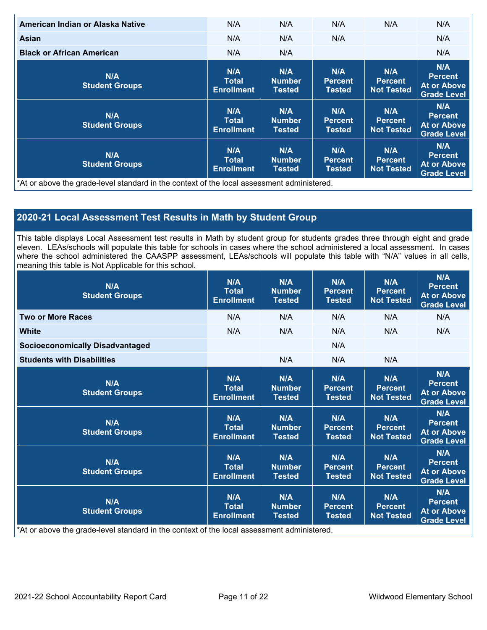| American Indian or Alaska Native                                                           | N/A                                      | N/A                                   | N/A                                    | N/A                                        | N/A                                                               |
|--------------------------------------------------------------------------------------------|------------------------------------------|---------------------------------------|----------------------------------------|--------------------------------------------|-------------------------------------------------------------------|
| Asian                                                                                      | N/A                                      | N/A                                   | N/A                                    |                                            | N/A                                                               |
| <b>Black or African American</b>                                                           | N/A                                      | N/A                                   |                                        |                                            | N/A                                                               |
| N/A<br><b>Student Groups</b>                                                               | N/A<br><b>Total</b><br><b>Enrollment</b> | N/A<br><b>Number</b><br><b>Tested</b> | N/A<br><b>Percent</b><br><b>Tested</b> | N/A<br><b>Percent</b><br><b>Not Tested</b> | N/A<br><b>Percent</b><br><b>At or Above</b><br><b>Grade Level</b> |
| N/A<br><b>Student Groups</b>                                                               | N/A<br>Total<br><b>Enrollment</b>        | N/A<br><b>Number</b><br>Tested        | N/A<br><b>Percent</b><br><b>Tested</b> | N/A<br><b>Percent</b><br><b>Not Tested</b> | N/A<br><b>Percent</b><br><b>At or Above</b><br><b>Grade Level</b> |
| N/A<br><b>Student Groups</b>                                                               | N/A<br><b>Total</b><br><b>Enrollment</b> | N/A<br><b>Number</b><br>Tested        | N/A<br><b>Percent</b><br><b>Tested</b> | N/A<br><b>Percent</b><br><b>Not Tested</b> | N/A<br><b>Percent</b><br>At or Above<br><b>Grade Level</b>        |
| *At or above the grade-level standard in the context of the local assessment administered. |                                          |                                       |                                        |                                            |                                                                   |

## **2020-21 Local Assessment Test Results in Math by Student Group**

This table displays Local Assessment test results in Math by student group for students grades three through eight and grade eleven. LEAs/schools will populate this table for schools in cases where the school administered a local assessment. In cases where the school administered the CAASPP assessment, LEAs/schools will populate this table with "N/A" values in all cells, meaning this table is Not Applicable for this school.

| N/A<br><b>Student Groups</b>                                                               | N/A<br><b>Total</b><br><b>Enrollment</b> | N/A<br><b>Number</b><br><b>Tested</b> | N/A<br><b>Percent</b><br><b>Tested</b> | N/A<br><b>Percent</b><br><b>Not Tested</b> | N/A<br><b>Percent</b><br><b>At or Above</b><br><b>Grade Level</b> |
|--------------------------------------------------------------------------------------------|------------------------------------------|---------------------------------------|----------------------------------------|--------------------------------------------|-------------------------------------------------------------------|
| <b>Two or More Races</b>                                                                   | N/A                                      | N/A                                   | N/A                                    | N/A                                        | N/A                                                               |
| <b>White</b>                                                                               | N/A                                      | N/A                                   | N/A                                    | N/A                                        | N/A                                                               |
| <b>Socioeconomically Disadvantaged</b>                                                     |                                          |                                       | N/A                                    |                                            |                                                                   |
| <b>Students with Disabilities</b>                                                          |                                          | N/A                                   | N/A                                    | N/A                                        |                                                                   |
| N/A<br><b>Student Groups</b>                                                               | N/A<br><b>Total</b><br><b>Enrollment</b> | N/A<br><b>Number</b><br><b>Tested</b> | N/A<br><b>Percent</b><br><b>Tested</b> | N/A<br><b>Percent</b><br><b>Not Tested</b> | N/A<br><b>Percent</b><br><b>At or Above</b><br><b>Grade Level</b> |
| N/A<br><b>Student Groups</b>                                                               | N/A<br><b>Total</b><br><b>Enrollment</b> | N/A<br><b>Number</b><br><b>Tested</b> | N/A<br><b>Percent</b><br><b>Tested</b> | N/A<br><b>Percent</b><br><b>Not Tested</b> | N/A<br><b>Percent</b><br><b>At or Above</b><br><b>Grade Level</b> |
| N/A<br><b>Student Groups</b>                                                               | N/A<br><b>Total</b><br><b>Enrollment</b> | N/A<br><b>Number</b><br><b>Tested</b> | N/A<br><b>Percent</b><br><b>Tested</b> | N/A<br><b>Percent</b><br><b>Not Tested</b> | N/A<br><b>Percent</b><br><b>At or Above</b><br><b>Grade Level</b> |
| N/A<br><b>Student Groups</b>                                                               | N/A<br><b>Total</b><br><b>Enrollment</b> | N/A<br><b>Number</b><br><b>Tested</b> | N/A<br><b>Percent</b><br><b>Tested</b> | N/A<br><b>Percent</b><br><b>Not Tested</b> | N/A<br><b>Percent</b><br><b>At or Above</b><br><b>Grade Level</b> |
| *At or above the grade-level standard in the context of the local assessment administered. |                                          |                                       |                                        |                                            |                                                                   |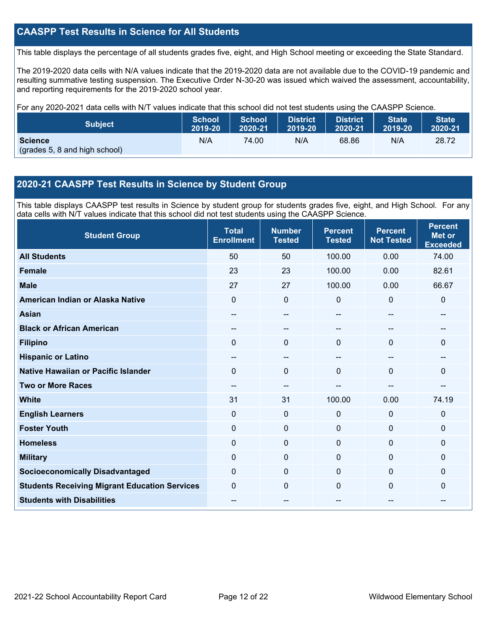## **CAASPP Test Results in Science for All Students**

This table displays the percentage of all students grades five, eight, and High School meeting or exceeding the State Standard.

The 2019-2020 data cells with N/A values indicate that the 2019-2020 data are not available due to the COVID-19 pandemic and resulting summative testing suspension. The Executive Order N-30-20 was issued which waived the assessment, accountability, and reporting requirements for the 2019-2020 school year.

For any 2020-2021 data cells with N/T values indicate that this school did not test students using the CAASPP Science.

| <b>Subject</b>                                  | <b>School</b> | <b>School</b> | <b>District</b> | <b>District</b> | <b>State</b> | <b>State</b> |
|-------------------------------------------------|---------------|---------------|-----------------|-----------------|--------------|--------------|
|                                                 | 2019-20       | 2020-21       | 2019-20         | 2020-21         | 2019-20      | 2020-21      |
| <b>Science</b><br>(grades 5, 8 and high school) | N/A           | 74.00         | N/A             | 68.86           | N/A          | 28.72        |

### **2020-21 CAASPP Test Results in Science by Student Group**

This table displays CAASPP test results in Science by student group for students grades five, eight, and High School. For any data cells with N/T values indicate that this school did not test students using the CAASPP Science.

| <b>Student Group</b>                                 | <b>Total</b><br><b>Enrollment</b> | <b>Number</b><br><b>Tested</b> | <b>Percent</b><br><b>Tested</b> | <b>Percent</b><br><b>Not Tested</b> | <b>Percent</b><br><b>Met or</b><br><b>Exceeded</b> |
|------------------------------------------------------|-----------------------------------|--------------------------------|---------------------------------|-------------------------------------|----------------------------------------------------|
| <b>All Students</b>                                  | 50                                | 50                             | 100.00                          | 0.00                                | 74.00                                              |
| <b>Female</b>                                        | 23                                | 23                             | 100.00                          | 0.00                                | 82.61                                              |
| <b>Male</b>                                          | 27                                | 27                             | 100.00                          | 0.00                                | 66.67                                              |
| American Indian or Alaska Native                     | $\Omega$                          | 0                              | 0                               | $\Omega$                            | $\mathbf 0$                                        |
| <b>Asian</b>                                         | --                                | --                             |                                 | --                                  |                                                    |
| <b>Black or African American</b>                     |                                   | --                             |                                 | --                                  |                                                    |
| <b>Filipino</b>                                      | $\Omega$                          | $\Omega$                       | $\mathbf{0}$                    | $\Omega$                            | $\mathbf{0}$                                       |
| <b>Hispanic or Latino</b>                            | $\sim$                            | $\qquad \qquad -$              | $\sim$                          | --                                  | $- -$                                              |
| <b>Native Hawaiian or Pacific Islander</b>           | 0                                 | $\mathbf 0$                    | $\mathbf{0}$                    | $\overline{0}$                      | $\mathbf 0$                                        |
| <b>Two or More Races</b>                             | --                                | --                             |                                 | --                                  |                                                    |
| <b>White</b>                                         | 31                                | 31                             | 100.00                          | 0.00                                | 74.19                                              |
| <b>English Learners</b>                              | $\Omega$                          | $\mathbf 0$                    | $\mathbf 0$                     | $\mathbf 0$                         | $\mathbf 0$                                        |
| <b>Foster Youth</b>                                  | 0                                 | $\mathbf 0$                    | $\mathbf 0$                     | $\mathbf 0$                         | $\mathbf 0$                                        |
| <b>Homeless</b>                                      | 0                                 | $\mathbf 0$                    | $\mathbf 0$                     | $\Omega$                            | $\mathbf 0$                                        |
| <b>Military</b>                                      | $\Omega$                          | $\mathbf 0$                    | $\mathbf{0}$                    | $\Omega$                            | $\mathbf{0}$                                       |
| <b>Socioeconomically Disadvantaged</b>               | $\Omega$                          | $\mathbf 0$                    | $\mathbf{0}$                    | $\Omega$                            | $\mathbf 0$                                        |
| <b>Students Receiving Migrant Education Services</b> | 0                                 | $\mathbf 0$                    | $\Omega$                        | $\overline{0}$                      | $\mathbf{0}$                                       |
| <b>Students with Disabilities</b>                    | --                                | --                             | --                              | --                                  | --                                                 |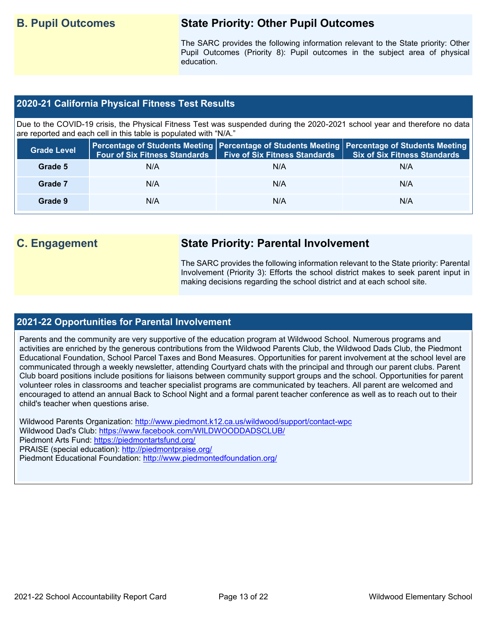## **B. Pupil Outcomes State Priority: Other Pupil Outcomes**

The SARC provides the following information relevant to the State priority: Other Pupil Outcomes (Priority 8): Pupil outcomes in the subject area of physical education.

## **2020-21 California Physical Fitness Test Results**

Due to the COVID-19 crisis, the Physical Fitness Test was suspended during the 2020-2021 school year and therefore no data are reported and each cell in this table is populated with "N/A."

| <b>Grade Level</b> | <b>Four of Six Fitness Standards</b> | <b>Five of Six Fitness Standards</b> | Percentage of Students Meeting   Percentage of Students Meeting   Percentage of Students Meeting  <br><b>Six of Six Fitness Standards</b> |
|--------------------|--------------------------------------|--------------------------------------|-------------------------------------------------------------------------------------------------------------------------------------------|
| Grade 5            | N/A                                  | N/A                                  | N/A                                                                                                                                       |
| Grade 7            | N/A                                  | N/A                                  | N/A                                                                                                                                       |
| Grade 9            | N/A                                  | N/A                                  | N/A                                                                                                                                       |

## **C. Engagement State Priority: Parental Involvement**

The SARC provides the following information relevant to the State priority: Parental Involvement (Priority 3): Efforts the school district makes to seek parent input in making decisions regarding the school district and at each school site.

### **2021-22 Opportunities for Parental Involvement**

Parents and the community are very supportive of the education program at Wildwood School. Numerous programs and activities are enriched by the generous contributions from the Wildwood Parents Club, the Wildwood Dads Club, the Piedmont Educational Foundation, School Parcel Taxes and Bond Measures. Opportunities for parent involvement at the school level are communicated through a weekly newsletter, attending Courtyard chats with the principal and through our parent clubs. Parent Club board positions include positions for liaisons between community support groups and the school. Opportunities for parent volunteer roles in classrooms and teacher specialist programs are communicated by teachers. All parent are welcomed and encouraged to attend an annual Back to School Night and a formal parent teacher conference as well as to reach out to their child's teacher when questions arise.

Wildwood Parents Organization:<http://www.piedmont.k12.ca.us/wildwood/support/contact-wpc> Wildwood Dad's Club:<https://www.facebook.com/WILDWOODDADSCLUB/> Piedmont Arts Fund:<https://piedmontartsfund.org/> PRAISE (special education):<http://piedmontpraise.org/> Piedmont Educational Foundation:<http://www.piedmontedfoundation.org/>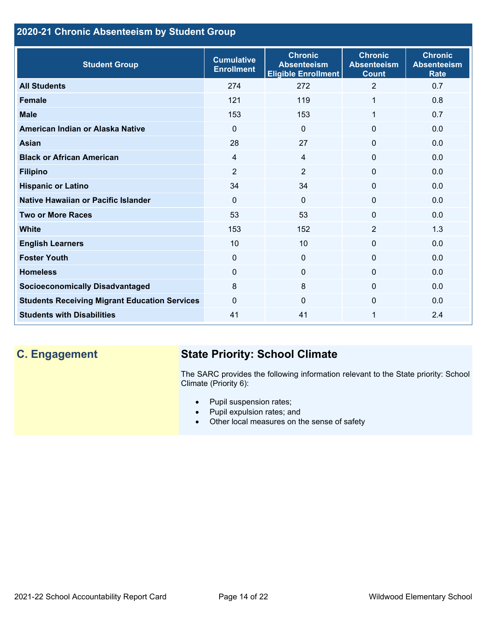## **2020-21 Chronic Absenteeism by Student Group**

| <b>Student Group</b>                                 | <b>Cumulative</b><br><b>Enrollment</b> | <b>Chronic</b><br><b>Absenteeism</b><br><b>Eligible Enrollment</b> | <b>Chronic</b><br><b>Absenteeism</b><br><b>Count</b> | <b>Chronic</b><br><b>Absenteeism</b><br><b>Rate</b> |
|------------------------------------------------------|----------------------------------------|--------------------------------------------------------------------|------------------------------------------------------|-----------------------------------------------------|
| <b>All Students</b>                                  | 274                                    | 272                                                                | $\overline{2}$                                       | 0.7                                                 |
| <b>Female</b>                                        | 121                                    | 119                                                                | 1                                                    | 0.8                                                 |
| <b>Male</b>                                          | 153                                    | 153                                                                | 1                                                    | 0.7                                                 |
| American Indian or Alaska Native                     | $\Omega$                               | $\mathbf{0}$                                                       | $\mathbf{0}$                                         | 0.0                                                 |
| <b>Asian</b>                                         | 28                                     | 27                                                                 | $\mathbf 0$                                          | 0.0                                                 |
| <b>Black or African American</b>                     | $\overline{4}$                         | 4                                                                  | $\mathbf{0}$                                         | 0.0                                                 |
| <b>Filipino</b>                                      | $\overline{2}$                         | $\overline{2}$                                                     | $\mathbf 0$                                          | 0.0                                                 |
| <b>Hispanic or Latino</b>                            | 34                                     | 34                                                                 | $\mathbf 0$                                          | 0.0                                                 |
| <b>Native Hawaiian or Pacific Islander</b>           | $\mathbf{0}$                           | $\mathbf 0$                                                        | $\mathbf{0}$                                         | 0.0                                                 |
| <b>Two or More Races</b>                             | 53                                     | 53                                                                 | $\mathbf{0}$                                         | 0.0                                                 |
| <b>White</b>                                         | 153                                    | 152                                                                | 2                                                    | 1.3                                                 |
| <b>English Learners</b>                              | 10                                     | 10                                                                 | $\mathbf{0}$                                         | 0.0                                                 |
| <b>Foster Youth</b>                                  | $\mathbf{0}$                           | $\overline{0}$                                                     | $\Omega$                                             | 0.0                                                 |
| <b>Homeless</b>                                      | $\mathbf{0}$                           | 0                                                                  | $\Omega$                                             | 0.0                                                 |
| <b>Socioeconomically Disadvantaged</b>               | 8                                      | 8                                                                  | $\Omega$                                             | 0.0                                                 |
| <b>Students Receiving Migrant Education Services</b> | $\mathbf{0}$                           | $\Omega$                                                           | $\mathbf{0}$                                         | 0.0                                                 |
| <b>Students with Disabilities</b>                    | 41                                     | 41                                                                 | 1                                                    | 2.4                                                 |

## **C. Engagement State Priority: School Climate**

The SARC provides the following information relevant to the State priority: School Climate (Priority 6):

- Pupil suspension rates;
- Pupil expulsion rates; and
- Other local measures on the sense of safety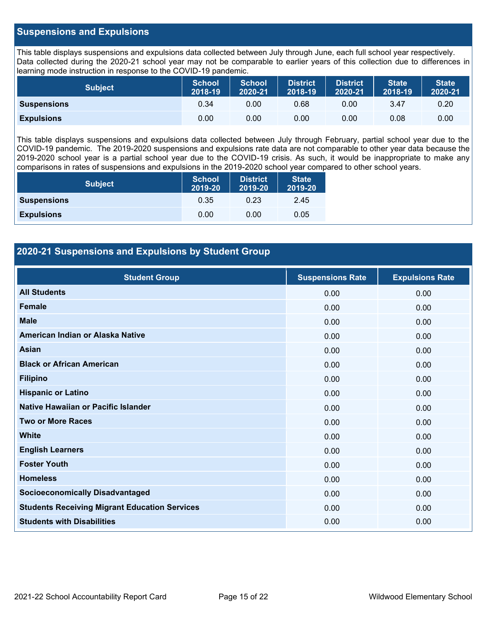## **Suspensions and Expulsions**

This table displays suspensions and expulsions data collected between July through June, each full school year respectively. Data collected during the 2020-21 school year may not be comparable to earlier years of this collection due to differences in learning mode instruction in response to the COVID-19 pandemic.

| <b>Subject</b>     | <b>School</b><br>2018-19 | <b>School</b><br>2020-21 | <b>District</b><br>2018-19 | <b>District</b><br>2020-21 | <b>State</b><br>2018-19 | <b>State</b><br>2020-21 |
|--------------------|--------------------------|--------------------------|----------------------------|----------------------------|-------------------------|-------------------------|
| <b>Suspensions</b> | 0.34                     | 0.00                     | 0.68                       | 0.00                       | 3.47                    | 0.20                    |
| <b>Expulsions</b>  | 0.00                     | 0.00                     | 0.00                       | 0.00                       | 0.08                    | 0.00                    |

This table displays suspensions and expulsions data collected between July through February, partial school year due to the COVID-19 pandemic. The 2019-2020 suspensions and expulsions rate data are not comparable to other year data because the 2019-2020 school year is a partial school year due to the COVID-19 crisis. As such, it would be inappropriate to make any comparisons in rates of suspensions and expulsions in the 2019-2020 school year compared to other school years.

| <b>Subject</b>     | <b>School</b><br>2019-20 | <b>District</b><br>2019-20 | <b>State</b><br>2019-20 |
|--------------------|--------------------------|----------------------------|-------------------------|
| <b>Suspensions</b> | 0.35                     | 0.23                       | 2.45                    |
| <b>Expulsions</b>  | 0.00                     | 0.00                       | 0.05                    |

## **2020-21 Suspensions and Expulsions by Student Group**

| <b>Student Group</b>                                 | <b>Suspensions Rate</b> | <b>Expulsions Rate</b> |
|------------------------------------------------------|-------------------------|------------------------|
| <b>All Students</b>                                  | 0.00                    | 0.00                   |
| <b>Female</b>                                        | 0.00                    | 0.00                   |
| <b>Male</b>                                          | 0.00                    | 0.00                   |
| American Indian or Alaska Native                     | 0.00                    | 0.00                   |
| <b>Asian</b>                                         | 0.00                    | 0.00                   |
| <b>Black or African American</b>                     | 0.00                    | 0.00                   |
| <b>Filipino</b>                                      | 0.00                    | 0.00                   |
| <b>Hispanic or Latino</b>                            | 0.00                    | 0.00                   |
| Native Hawaiian or Pacific Islander                  | 0.00                    | 0.00                   |
| <b>Two or More Races</b>                             | 0.00                    | 0.00                   |
| <b>White</b>                                         | 0.00                    | 0.00                   |
| <b>English Learners</b>                              | 0.00                    | 0.00                   |
| <b>Foster Youth</b>                                  | 0.00                    | 0.00                   |
| <b>Homeless</b>                                      | 0.00                    | 0.00                   |
| <b>Socioeconomically Disadvantaged</b>               | 0.00                    | 0.00                   |
| <b>Students Receiving Migrant Education Services</b> | 0.00                    | 0.00                   |
| <b>Students with Disabilities</b>                    | 0.00                    | 0.00                   |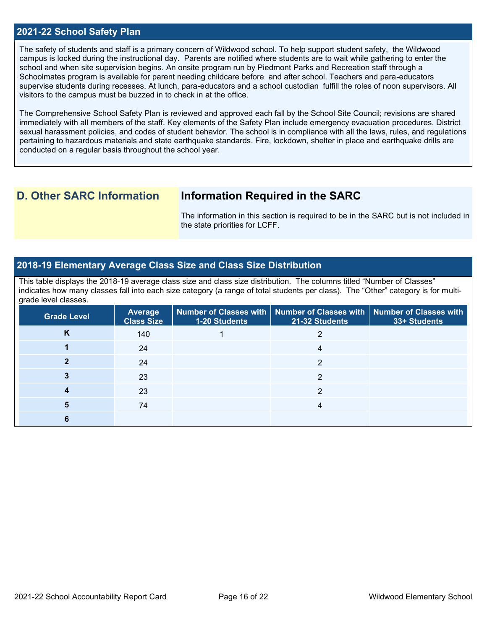## **2021-22 School Safety Plan**

The safety of students and staff is a primary concern of Wildwood school. To help support student safety, the Wildwood campus is locked during the instructional day. Parents are notified where students are to wait while gathering to enter the school and when site supervision begins. An onsite program run by Piedmont Parks and Recreation staff through a Schoolmates program is available for parent needing childcare before and after school. Teachers and para-educators supervise students during recesses. At lunch, para-educators and a school custodian fulfill the roles of noon supervisors. All visitors to the campus must be buzzed in to check in at the office.

The Comprehensive School Safety Plan is reviewed and approved each fall by the School Site Council; revisions are shared immediately with all members of the staff. Key elements of the Safety Plan include emergency evacuation procedures, District sexual harassment policies, and codes of student behavior. The school is in compliance with all the laws, rules, and regulations pertaining to hazardous materials and state earthquake standards. Fire, lockdown, shelter in place and earthquake drills are conducted on a regular basis throughout the school year.

## **D. Other SARC Information Information Required in the SARC**

The information in this section is required to be in the SARC but is not included in the state priorities for LCFF.

### **2018-19 Elementary Average Class Size and Class Size Distribution**

This table displays the 2018-19 average class size and class size distribution. The columns titled "Number of Classes" indicates how many classes fall into each size category (a range of total students per class). The "Other" category is for multigrade level classes.

| <b>Grade Level</b> | <b>Average</b><br><b>Class Size</b> | <b>1-20 Students</b> | Number of Classes with   Number of Classes with   Number of Classes with<br>21-32 Students | 33+ Students |
|--------------------|-------------------------------------|----------------------|--------------------------------------------------------------------------------------------|--------------|
| Κ                  | 140                                 |                      |                                                                                            |              |
|                    | 24                                  |                      |                                                                                            |              |
|                    | 24                                  |                      | ົ                                                                                          |              |
|                    | 23                                  |                      | ◠                                                                                          |              |
|                    | 23                                  |                      |                                                                                            |              |
|                    | 74                                  |                      |                                                                                            |              |
|                    |                                     |                      |                                                                                            |              |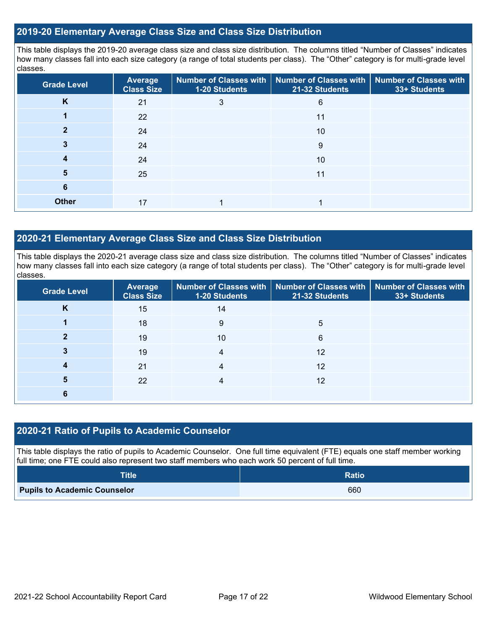## **2019-20 Elementary Average Class Size and Class Size Distribution**

This table displays the 2019-20 average class size and class size distribution. The columns titled "Number of Classes" indicates how many classes fall into each size category (a range of total students per class). The "Other" category is for multi-grade level classes.

| <b>Grade Level</b> | Average<br><b>Class Size</b> | Number of Classes with<br>1-20 Students | Number of Classes with<br>21-32 Students | <b>Number of Classes with</b><br>33+ Students |
|--------------------|------------------------------|-----------------------------------------|------------------------------------------|-----------------------------------------------|
| K                  | 21                           | 3                                       | 6                                        |                                               |
|                    | 22                           |                                         | 11                                       |                                               |
|                    | 24                           |                                         | 10                                       |                                               |
| 3                  | 24                           |                                         | 9                                        |                                               |
| 4                  | 24                           |                                         | 10                                       |                                               |
| 5                  | 25                           |                                         | 11                                       |                                               |
| 6                  |                              |                                         |                                          |                                               |
| <b>Other</b>       | 17                           |                                         |                                          |                                               |

## **2020-21 Elementary Average Class Size and Class Size Distribution**

This table displays the 2020-21 average class size and class size distribution. The columns titled "Number of Classes" indicates how many classes fall into each size category (a range of total students per class). The "Other" category is for multi-grade level classes.

| <b>Grade Level</b> | <b>Average</b><br><b>Class Size</b> | 1-20 Students | Number of Classes with   Number of Classes with   Number of Classes with<br>21-32 Students | 33+ Students |
|--------------------|-------------------------------------|---------------|--------------------------------------------------------------------------------------------|--------------|
| K                  | 15                                  | 14            |                                                                                            |              |
|                    | 18                                  | 9             | 5                                                                                          |              |
|                    | 19                                  | 10            | 6                                                                                          |              |
|                    | 19                                  |               | 12                                                                                         |              |
|                    | 21                                  |               | 12                                                                                         |              |
| 5                  | 22                                  |               | 12                                                                                         |              |
| Ю                  |                                     |               |                                                                                            |              |

## **2020-21 Ratio of Pupils to Academic Counselor**

This table displays the ratio of pupils to Academic Counselor. One full time equivalent (FTE) equals one staff member working full time; one FTE could also represent two staff members who each work 50 percent of full time.

| <b>Title</b>                        | <b>Ratio</b> |
|-------------------------------------|--------------|
| <b>Pupils to Academic Counselor</b> | 660          |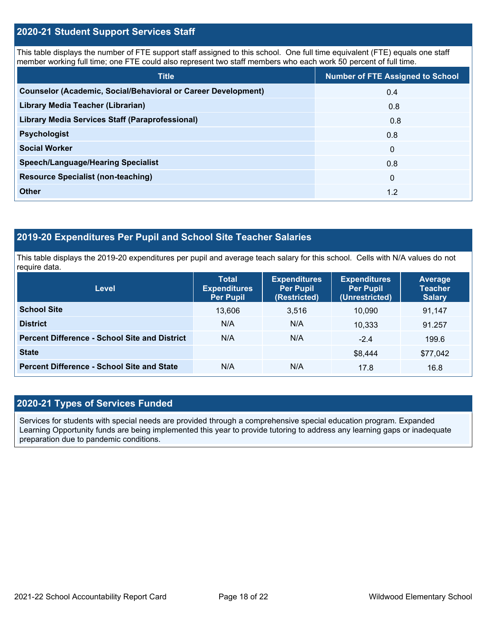## **2020-21 Student Support Services Staff**

This table displays the number of FTE support staff assigned to this school. One full time equivalent (FTE) equals one staff member working full time; one FTE could also represent two staff members who each work 50 percent of full time.

| <b>Title</b>                                                         | <b>Number of FTE Assigned to School</b> |
|----------------------------------------------------------------------|-----------------------------------------|
| <b>Counselor (Academic, Social/Behavioral or Career Development)</b> | 0.4                                     |
| Library Media Teacher (Librarian)                                    | 0.8                                     |
| <b>Library Media Services Staff (Paraprofessional)</b>               | 0.8                                     |
| <b>Psychologist</b>                                                  | 0.8                                     |
| <b>Social Worker</b>                                                 | $\mathbf{0}$                            |
| <b>Speech/Language/Hearing Specialist</b>                            | 0.8                                     |
| <b>Resource Specialist (non-teaching)</b>                            | $\mathbf{0}$                            |
| <b>Other</b>                                                         | 1.2                                     |

## **2019-20 Expenditures Per Pupil and School Site Teacher Salaries**

This table displays the 2019-20 expenditures per pupil and average teach salary for this school. Cells with N/A values do not require data.

| <b>Level</b>                                         | <b>Total</b><br><b>Expenditures</b><br><b>Per Pupil</b> | <b>Expenditures</b><br><b>Per Pupil</b><br>(Restricted) | <b>Expenditures</b><br><b>Per Pupil</b><br>(Unrestricted) | Average<br><b>Teacher</b><br><b>Salary</b> |
|------------------------------------------------------|---------------------------------------------------------|---------------------------------------------------------|-----------------------------------------------------------|--------------------------------------------|
| <b>School Site</b>                                   | 13,606                                                  | 3,516                                                   | 10.090                                                    | 91,147                                     |
| <b>District</b>                                      | N/A                                                     | N/A                                                     | 10.333                                                    | 91.257                                     |
| <b>Percent Difference - School Site and District</b> | N/A                                                     | N/A                                                     | $-2.4$                                                    | 199.6                                      |
| <b>State</b>                                         |                                                         |                                                         | \$8,444                                                   | \$77,042                                   |
| <b>Percent Difference - School Site and State</b>    | N/A                                                     | N/A                                                     | 17.8                                                      | 16.8                                       |

## **2020-21 Types of Services Funded**

Services for students with special needs are provided through a comprehensive special education program. Expanded Learning Opportunity funds are being implemented this year to provide tutoring to address any learning gaps or inadequate preparation due to pandemic conditions.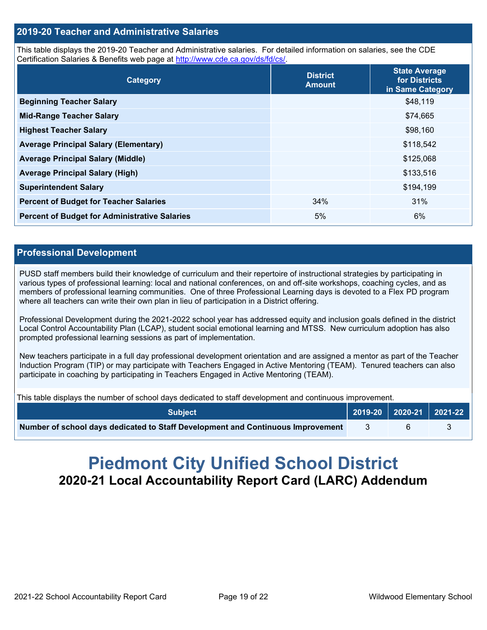## **2019-20 Teacher and Administrative Salaries**

This table displays the 2019-20 Teacher and Administrative salaries. For detailed information on salaries, see the CDE Certification Salaries & Benefits web page at [http://www.cde.ca.gov/ds/fd/cs/.](http://www.cde.ca.gov/ds/fd/cs/)

| Category                                             | <b>District</b><br><b>Amount</b> | <b>State Average</b><br>for Districts<br>in Same Category |
|------------------------------------------------------|----------------------------------|-----------------------------------------------------------|
| <b>Beginning Teacher Salary</b>                      |                                  | \$48,119                                                  |
| <b>Mid-Range Teacher Salary</b>                      |                                  | \$74,665                                                  |
| <b>Highest Teacher Salary</b>                        |                                  | \$98,160                                                  |
| <b>Average Principal Salary (Elementary)</b>         |                                  | \$118,542                                                 |
| <b>Average Principal Salary (Middle)</b>             |                                  | \$125,068                                                 |
| <b>Average Principal Salary (High)</b>               |                                  | \$133,516                                                 |
| <b>Superintendent Salary</b>                         |                                  | \$194,199                                                 |
| <b>Percent of Budget for Teacher Salaries</b>        | 34%                              | 31%                                                       |
| <b>Percent of Budget for Administrative Salaries</b> | 5%                               | 6%                                                        |

### **Professional Development**

PUSD staff members build their knowledge of curriculum and their repertoire of instructional strategies by participating in various types of professional learning: local and national conferences, on and off-site workshops, coaching cycles, and as members of professional learning communities. One of three Professional Learning days is devoted to a Flex PD program where all teachers can write their own plan in lieu of participation in a District offering.

Professional Development during the 2021-2022 school year has addressed equity and inclusion goals defined in the district Local Control Accountability Plan (LCAP), student social emotional learning and MTSS. New curriculum adoption has also prompted professional learning sessions as part of implementation.

New teachers participate in a full day professional development orientation and are assigned a mentor as part of the Teacher Induction Program (TIP) or may participate with Teachers Engaged in Active Mentoring (TEAM). Tenured teachers can also participate in coaching by participating in Teachers Engaged in Active Mentoring (TEAM).

This table displays the number of school days dedicated to staff development and continuous improvement.

| <b>Subiect</b>                                                                  |  | $\vert$ 2019-20 $\vert$ 2020-21 $\vert$ 2021-22 $\vert$ |
|---------------------------------------------------------------------------------|--|---------------------------------------------------------|
| Number of school days dedicated to Staff Development and Continuous Improvement |  |                                                         |

# **Piedmont City Unified School District 2020-21 Local Accountability Report Card (LARC) Addendum**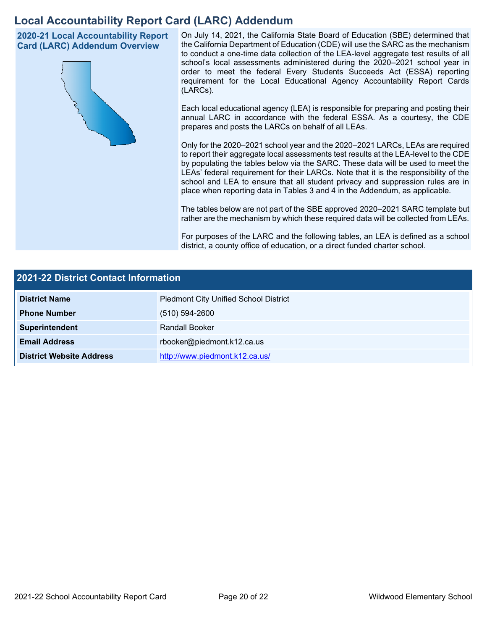## **Local Accountability Report Card (LARC) Addendum**

**2020-21 Local Accountability Report Card (LARC) Addendum Overview**



On July 14, 2021, the California State Board of Education (SBE) determined that the California Department of Education (CDE) will use the SARC as the mechanism to conduct a one-time data collection of the LEA-level aggregate test results of all school's local assessments administered during the 2020–2021 school year in order to meet the federal Every Students Succeeds Act (ESSA) reporting requirement for the Local Educational Agency Accountability Report Cards (LARCs).

Each local educational agency (LEA) is responsible for preparing and posting their annual LARC in accordance with the federal ESSA. As a courtesy, the CDE prepares and posts the LARCs on behalf of all LEAs.

Only for the 2020–2021 school year and the 2020–2021 LARCs, LEAs are required to report their aggregate local assessments test results at the LEA-level to the CDE by populating the tables below via the SARC. These data will be used to meet the LEAs' federal requirement for their LARCs. Note that it is the responsibility of the school and LEA to ensure that all student privacy and suppression rules are in place when reporting data in Tables 3 and 4 in the Addendum, as applicable.

The tables below are not part of the SBE approved 2020–2021 SARC template but rather are the mechanism by which these required data will be collected from LEAs.

For purposes of the LARC and the following tables, an LEA is defined as a school district, a county office of education, or a direct funded charter school.

| 2021-22 District Contact Information |                                              |  |  |  |
|--------------------------------------|----------------------------------------------|--|--|--|
| <b>District Name</b>                 | <b>Piedmont City Unified School District</b> |  |  |  |
| <b>Phone Number</b>                  | $(510) 594 - 2600$                           |  |  |  |
| Superintendent                       | Randall Booker                               |  |  |  |
| <b>Email Address</b>                 | rbooker@piedmont.k12.ca.us                   |  |  |  |
| <b>District Website Address</b>      | http://www.piedmont.k12.ca.us/               |  |  |  |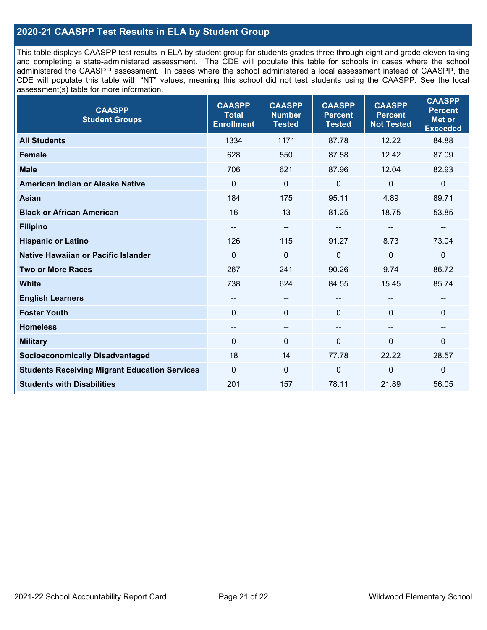## **2020-21 CAASPP Test Results in ELA by Student Group**

This table displays CAASPP test results in ELA by student group for students grades three through eight and grade eleven taking and completing a state-administered assessment. The CDE will populate this table for schools in cases where the school administered the CAASPP assessment. In cases where the school administered a local assessment instead of CAASPP, the CDE will populate this table with "NT" values, meaning this school did not test students using the CAASPP. See the local assessment(s) table for more information.

| <b>CAASPP</b><br><b>Student Groups</b>               | <b>CAASPP</b><br><b>Total</b><br><b>Enrollment</b> | <b>CAASPP</b><br><b>Number</b><br><b>Tested</b> | <b>CAASPP</b><br><b>Percent</b><br><b>Tested</b> | <b>CAASPP</b><br><b>Percent</b><br><b>Not Tested</b> | <b>CAASPP</b><br><b>Percent</b><br><b>Met or</b><br><b>Exceeded</b> |
|------------------------------------------------------|----------------------------------------------------|-------------------------------------------------|--------------------------------------------------|------------------------------------------------------|---------------------------------------------------------------------|
| <b>All Students</b>                                  | 1334                                               | 1171                                            | 87.78                                            | 12.22                                                | 84.88                                                               |
| <b>Female</b>                                        | 628                                                | 550                                             | 87.58                                            | 12.42                                                | 87.09                                                               |
| <b>Male</b>                                          | 706                                                | 621                                             | 87.96                                            | 12.04                                                | 82.93                                                               |
| American Indian or Alaska Native                     | $\mathbf 0$                                        | $\mathbf 0$                                     | $\mathbf 0$                                      | $\mathbf 0$                                          | $\mathbf 0$                                                         |
| <b>Asian</b>                                         | 184                                                | 175                                             | 95.11                                            | 4.89                                                 | 89.71                                                               |
| <b>Black or African American</b>                     | 16                                                 | 13                                              | 81.25                                            | 18.75                                                | 53.85                                                               |
| <b>Filipino</b>                                      | --                                                 | $\overline{\phantom{m}}$                        |                                                  | --                                                   |                                                                     |
| <b>Hispanic or Latino</b>                            | 126                                                | 115                                             | 91.27                                            | 8.73                                                 | 73.04                                                               |
| <b>Native Hawaiian or Pacific Islander</b>           | $\Omega$                                           | $\mathbf 0$                                     | 0                                                | $\overline{0}$                                       | $\mathbf 0$                                                         |
| <b>Two or More Races</b>                             | 267                                                | 241                                             | 90.26                                            | 9.74                                                 | 86.72                                                               |
| <b>White</b>                                         | 738                                                | 624                                             | 84.55                                            | 15.45                                                | 85.74                                                               |
| <b>English Learners</b>                              | --                                                 | $\overline{\phantom{m}}$                        | --                                               |                                                      |                                                                     |
| <b>Foster Youth</b>                                  | $\Omega$                                           | $\mathbf 0$                                     | $\mathbf{0}$                                     | $\Omega$                                             | 0                                                                   |
| <b>Homeless</b>                                      | --                                                 | $\overline{\phantom{m}}$                        | --                                               | $\overline{\phantom{a}}$                             | --                                                                  |
| <b>Military</b>                                      | 0                                                  | $\pmb{0}$                                       | 0                                                | 0                                                    | 0                                                                   |
| <b>Socioeconomically Disadvantaged</b>               | 18                                                 | 14                                              | 77.78                                            | 22.22                                                | 28.57                                                               |
| <b>Students Receiving Migrant Education Services</b> | $\Omega$                                           | $\mathbf 0$                                     | 0                                                | $\mathbf 0$                                          | $\mathbf 0$                                                         |
| <b>Students with Disabilities</b>                    | 201                                                | 157                                             | 78.11                                            | 21.89                                                | 56.05                                                               |